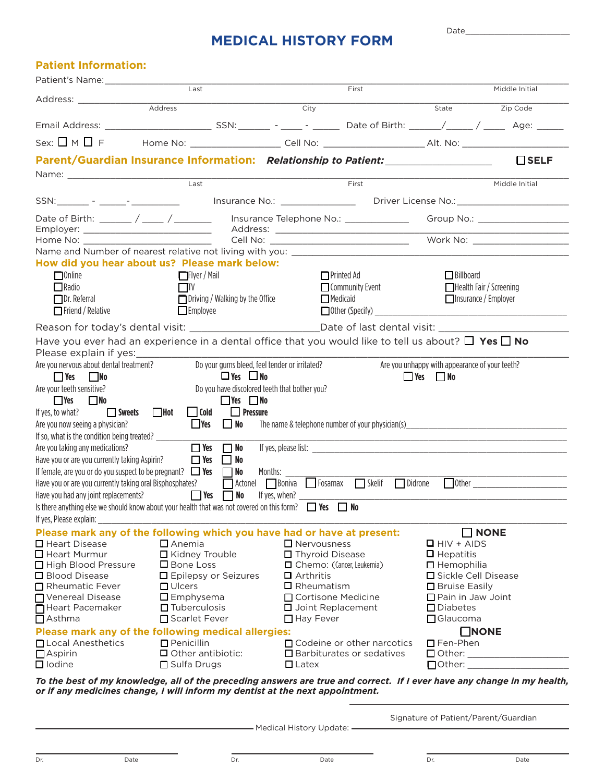## **MEDICAL HISTORY FORM**

Date\_

### **Patient Information:**

| Patient's Name: 2008                                                      |                                                                                                                                         |                                                                                                               |                                                       |
|---------------------------------------------------------------------------|-----------------------------------------------------------------------------------------------------------------------------------------|---------------------------------------------------------------------------------------------------------------|-------------------------------------------------------|
| Address: ________________                                                 | Last                                                                                                                                    | First                                                                                                         | Middle Initial                                        |
|                                                                           | Address                                                                                                                                 | City                                                                                                          | Zip Code<br>State                                     |
|                                                                           |                                                                                                                                         |                                                                                                               |                                                       |
| Sex: $\Box$ M $\Box$ F                                                    |                                                                                                                                         | Home No: ________________________Cell No: ___________________________Alt. No: ______________________          |                                                       |
|                                                                           |                                                                                                                                         | Parent/Guardian Insurance Information: Relationship to Patient: ________________                              | $\Box$ SELF                                           |
|                                                                           |                                                                                                                                         |                                                                                                               |                                                       |
|                                                                           | $\overline{Last}$                                                                                                                       | First                                                                                                         | Middle Initial                                        |
|                                                                           |                                                                                                                                         |                                                                                                               |                                                       |
|                                                                           |                                                                                                                                         | Date of Birth: ______ / _____ / ________ Insurance Telephone No.: ______________ Group No.: _________________ |                                                       |
|                                                                           |                                                                                                                                         |                                                                                                               |                                                       |
|                                                                           |                                                                                                                                         |                                                                                                               |                                                       |
|                                                                           | How did you hear about us? Please mark below:                                                                                           |                                                                                                               |                                                       |
| $\square$ Online                                                          | <b>□Flyer / Mail</b>                                                                                                                    | $\Box$ Printed Ad                                                                                             | $\Box$ Billboard                                      |
| Radio                                                                     | $\Box$ TV                                                                                                                               | $\Box$ Community Event                                                                                        | Health Fair / Screening                               |
| $\Box$ Dr. Referral<br>$\Box$ Friend / Relative                           | $\Box$ Driving / Walking by the Office<br>$\Box$ Employee                                                                               | $\Box$ Medicaid                                                                                               | Insurance / Employer<br>$\Box$ Other (Specify) $\Box$ |
|                                                                           |                                                                                                                                         | Reason for today's dental visit: ______________________________Date of last dental visit: __________          |                                                       |
|                                                                           |                                                                                                                                         | Have you ever had an experience in a dental office that you would like to tell us about? $\Box$ Yes $\Box$ No |                                                       |
| Please explain if yes:                                                    |                                                                                                                                         |                                                                                                               |                                                       |
| Are you nervous about dental treatment?                                   | Do your gums bleed, feel tender or irritated?                                                                                           |                                                                                                               | Are you unhappy with appearance of your teeth?        |
| $Y$ es<br>l INo                                                           | $\Box$ Yes $\Box$ No                                                                                                                    |                                                                                                               | $\Box$ Yes $\Box$ No                                  |
| Are your teeth sensitive?                                                 | Do you have discolored teeth that bother you?                                                                                           |                                                                                                               |                                                       |
| $\Box$ Yes<br>$\Box$ No<br>Sweets Hot<br>If yes, to what?                 | $\Box$ Yes $\Box$ No<br>$\Box$ Pressure<br>$\Box$ Cold                                                                                  |                                                                                                               |                                                       |
| Are you now seeing a physician?                                           | $\Box$ Yes<br>$\Box$ No                                                                                                                 | The name & telephone number of your physician(s)                                                              |                                                       |
| If so, what is the condition being treated? ________                      |                                                                                                                                         |                                                                                                               |                                                       |
| Are you taking any medications?                                           | $\Box$ Yes<br>$\Box$ No                                                                                                                 |                                                                                                               |                                                       |
| Have you or are you currently taking Aspirin?                             | $\Box$ Yes $\Box$ No                                                                                                                    |                                                                                                               |                                                       |
| If female, are you or do you suspect to be pregnant? $\Box$ Yes $\Box$ No | Months:                                                                                                                                 |                                                                                                               |                                                       |
| Have you or are you currently taking oral Bisphosphates?                  |                                                                                                                                         | Actonel Boniva Fosamax Skelif<br>Didrone                                                                      | $\Box$ Other                                          |
| Have you had any joint replacements?                                      | $\Box$ Yes $\Box$ No<br>Is there anything else we should know about your health that was not covered on this form? $\Box$ Yes $\Box$ No | If yes, when?                                                                                                 |                                                       |
| If yes, Please explain:                                                   |                                                                                                                                         |                                                                                                               |                                                       |
|                                                                           | Please mark any of the following which you have had or have at present:                                                                 |                                                                                                               | $\Box$ NONE                                           |
| □ Heart Disease                                                           | $\square$ Anemia                                                                                                                        | $\Box$ Nervousness                                                                                            | $\Box$ HIV + AIDS                                     |
| $\Box$ Heart Murmur                                                       | □ Kidney Trouble                                                                                                                        | □ Thyroid Disease                                                                                             | $\Box$ Hepatitis                                      |
| High Blood Pressure<br>□ Blood Disease                                    | □ Bone Loss<br>□ Epilepsy or Seizures                                                                                                   | □ Chemo: (Cancer, Leukemia)<br>$\Box$ Arthritis                                                               | $\Box$ Hemophilia<br>□ Sickle Cell Disease            |
| Rheumatic Fever                                                           | $\Box$ Ulcers                                                                                                                           | $\Box$ Rheumatism                                                                                             | $\Box$ Bruise Easily                                  |
| □ Venereal Disease                                                        | $\Box$ Emphysema                                                                                                                        | □ Cortisone Medicine                                                                                          | $\Box$ Pain in Jaw Joint                              |
| Heart Pacemaker                                                           | $\Box$ Tuberculosis                                                                                                                     | □ Joint Replacement                                                                                           | $\square$ Diabetes                                    |
| $\Box$ Asthma                                                             | □ Scarlet Fever                                                                                                                         | □ Hay Fever                                                                                                   | $\Box$ Glaucoma                                       |
|                                                                           | Please mark any of the following medical allergies:                                                                                     |                                                                                                               | $\Box$ NONE                                           |
| □ Local Anesthetics<br>$\Box$ Aspirin                                     | $\Box$ Penicillin<br>Other antibiotic:                                                                                                  | □ Codeine or other narcotics<br>$\Box$ Barbiturates or sedatives                                              | $\square$ Fen-Phen<br>$\Box$ Other: $\_$              |
| $\Box$ lodine                                                             | Sulfa Drugs                                                                                                                             | $\Box$ Latex                                                                                                  | $\Box$ Other: $\Box$                                  |
|                                                                           |                                                                                                                                         |                                                                                                               |                                                       |

*To the best of my knowledge, all of the preceding answers are true and correct. If I ever have any change in my health, or if any medicines change, I will inform my dentist at the next appointment.*

- Medical History Update: -